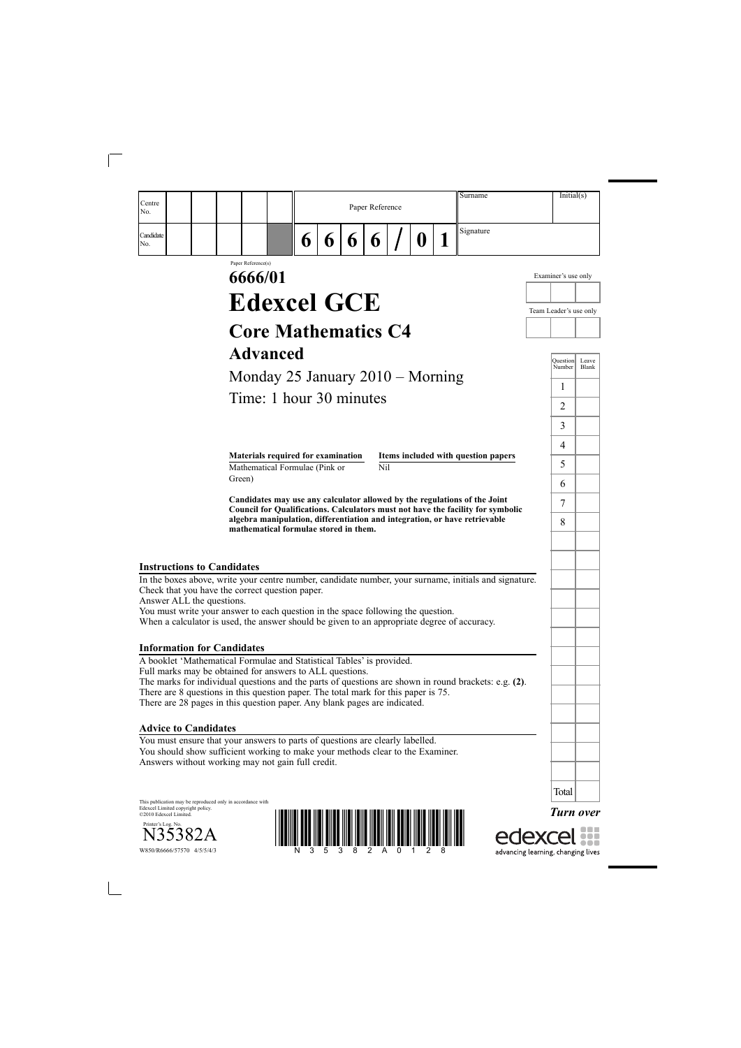*Turn over*

edexcel



| Centre<br>No.                     |                                                                                                                                                                                            |   |   |   | Paper Reference |              | Surname                                                                                                                                                      | Initial(s)             |                       |
|-----------------------------------|--------------------------------------------------------------------------------------------------------------------------------------------------------------------------------------------|---|---|---|-----------------|--------------|--------------------------------------------------------------------------------------------------------------------------------------------------------------|------------------------|-----------------------|
| Candidate<br>No.                  |                                                                                                                                                                                            | 6 | 6 | 6 | 6               | $\mathbf{0}$ | Signature                                                                                                                                                    |                        |                       |
|                                   | Paper Reference(s)<br>6666/01                                                                                                                                                              |   |   |   |                 |              |                                                                                                                                                              | Examiner's use only    |                       |
|                                   | <b>Edexcel GCE</b>                                                                                                                                                                         |   |   |   |                 |              |                                                                                                                                                              | Team Leader's use only |                       |
|                                   | <b>Core Mathematics C4</b>                                                                                                                                                                 |   |   |   |                 |              |                                                                                                                                                              |                        |                       |
|                                   | <b>Advanced</b>                                                                                                                                                                            |   |   |   |                 |              |                                                                                                                                                              |                        |                       |
|                                   |                                                                                                                                                                                            |   |   |   |                 |              |                                                                                                                                                              | Question<br>Number     | Leave<br><b>Blank</b> |
|                                   | Monday 25 January $2010 -$ Morning                                                                                                                                                         |   |   |   |                 |              |                                                                                                                                                              | 1                      |                       |
|                                   | Time: 1 hour 30 minutes                                                                                                                                                                    |   |   |   |                 |              |                                                                                                                                                              | 2                      |                       |
|                                   |                                                                                                                                                                                            |   |   |   |                 |              |                                                                                                                                                              | 3                      |                       |
|                                   | Materials required for examination                                                                                                                                                         |   |   |   |                 |              | Items included with question papers                                                                                                                          | 4                      |                       |
|                                   | Mathematical Formulae (Pink or                                                                                                                                                             |   |   |   | Nil             |              |                                                                                                                                                              | 5                      |                       |
|                                   | Green)                                                                                                                                                                                     |   |   |   |                 |              |                                                                                                                                                              | 6                      |                       |
|                                   |                                                                                                                                                                                            |   |   |   |                 |              | Candidates may use any calculator allowed by the regulations of the Joint<br>Council for Qualifications. Calculators must not have the facility for symbolic | 7                      |                       |
|                                   | mathematical formulae stored in them.                                                                                                                                                      |   |   |   |                 |              | algebra manipulation, differentiation and integration, or have retrievable                                                                                   | 8                      |                       |
| <b>Instructions to Candidates</b> |                                                                                                                                                                                            |   |   |   |                 |              |                                                                                                                                                              |                        |                       |
| Answer ALL the questions.         | In the boxes above, write your centre number, candidate number, your surname, initials and signature.<br>Check that you have the correct question paper.                                   |   |   |   |                 |              |                                                                                                                                                              |                        |                       |
|                                   | You must write your answer to each question in the space following the question.<br>When a calculator is used, the answer should be given to an appropriate degree of accuracy.            |   |   |   |                 |              |                                                                                                                                                              |                        |                       |
|                                   | <b>Information for Candidates</b>                                                                                                                                                          |   |   |   |                 |              |                                                                                                                                                              |                        |                       |
|                                   | A booklet 'Mathematical Formulae and Statistical Tables' is provided.<br>Full marks may be obtained for answers to ALL questions.                                                          |   |   |   |                 |              |                                                                                                                                                              |                        |                       |
|                                   | The marks for individual questions and the parts of questions are shown in round brackets: e.g. (2).<br>There are 8 questions in this question paper. The total mark for this paper is 75. |   |   |   |                 |              |                                                                                                                                                              |                        |                       |
|                                   | There are 28 pages in this question paper. Any blank pages are indicated.                                                                                                                  |   |   |   |                 |              |                                                                                                                                                              |                        |                       |
|                                   |                                                                                                                                                                                            |   |   |   |                 |              |                                                                                                                                                              |                        |                       |

This publication may be reproduced only in accordance with Edexcel Limited copyright policy. ©2010 Edexcel Limited.

Printer's Log. No.<br>N35382A

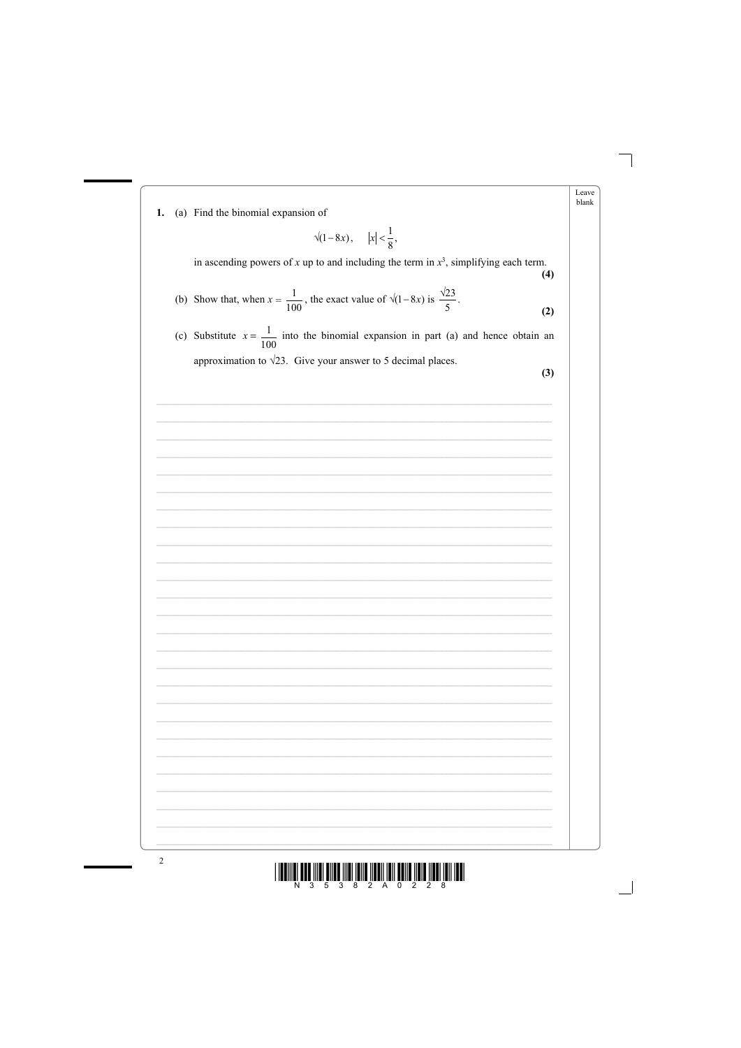





 $\overline{2}$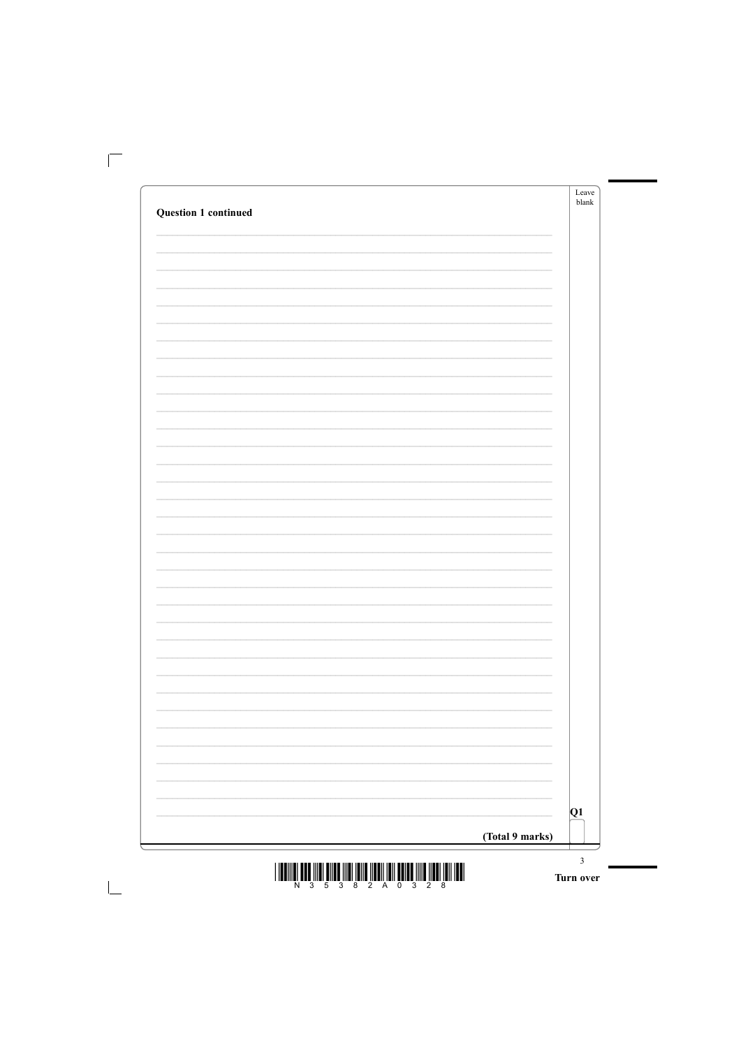|                                                                                                                  |                          | Leave<br>blank |
|------------------------------------------------------------------------------------------------------------------|--------------------------|----------------|
| <b>Question 1 continued</b>                                                                                      |                          |                |
|                                                                                                                  |                          |                |
|                                                                                                                  |                          |                |
|                                                                                                                  |                          |                |
|                                                                                                                  |                          |                |
|                                                                                                                  |                          |                |
|                                                                                                                  |                          |                |
|                                                                                                                  |                          |                |
|                                                                                                                  |                          |                |
|                                                                                                                  |                          |                |
|                                                                                                                  |                          |                |
|                                                                                                                  |                          |                |
|                                                                                                                  |                          |                |
|                                                                                                                  |                          |                |
|                                                                                                                  |                          |                |
|                                                                                                                  |                          |                |
|                                                                                                                  |                          |                |
|                                                                                                                  |                          |                |
|                                                                                                                  |                          |                |
|                                                                                                                  |                          |                |
|                                                                                                                  |                          |                |
|                                                                                                                  |                          |                |
|                                                                                                                  |                          |                |
|                                                                                                                  |                          |                |
|                                                                                                                  | $\overline{\phantom{0}}$ |                |
|                                                                                                                  |                          |                |
|                                                                                                                  |                          |                |
| and the control of the control of the control of the control of the control of the control of the control of the | $\overline{\phantom{a}}$ |                |
|                                                                                                                  | $\overline{\phantom{0}}$ |                |
|                                                                                                                  |                          |                |
|                                                                                                                  |                          |                |
|                                                                                                                  |                          |                |
|                                                                                                                  | $\overline{\phantom{0}}$ |                |
|                                                                                                                  |                          |                |
|                                                                                                                  |                          |                |

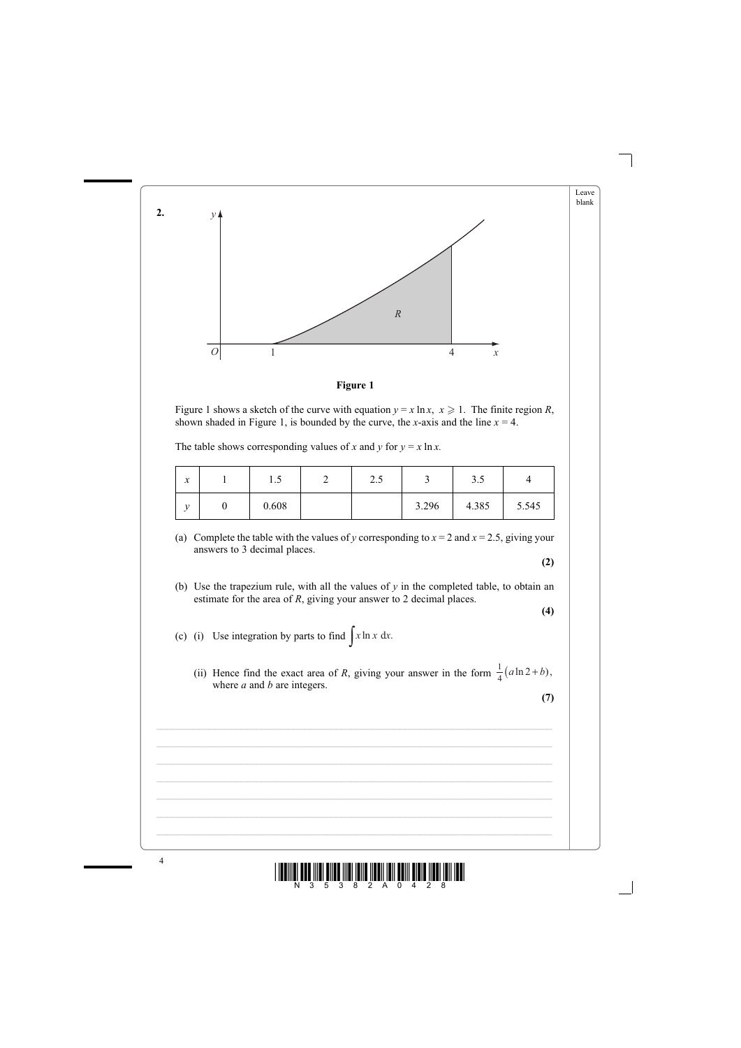



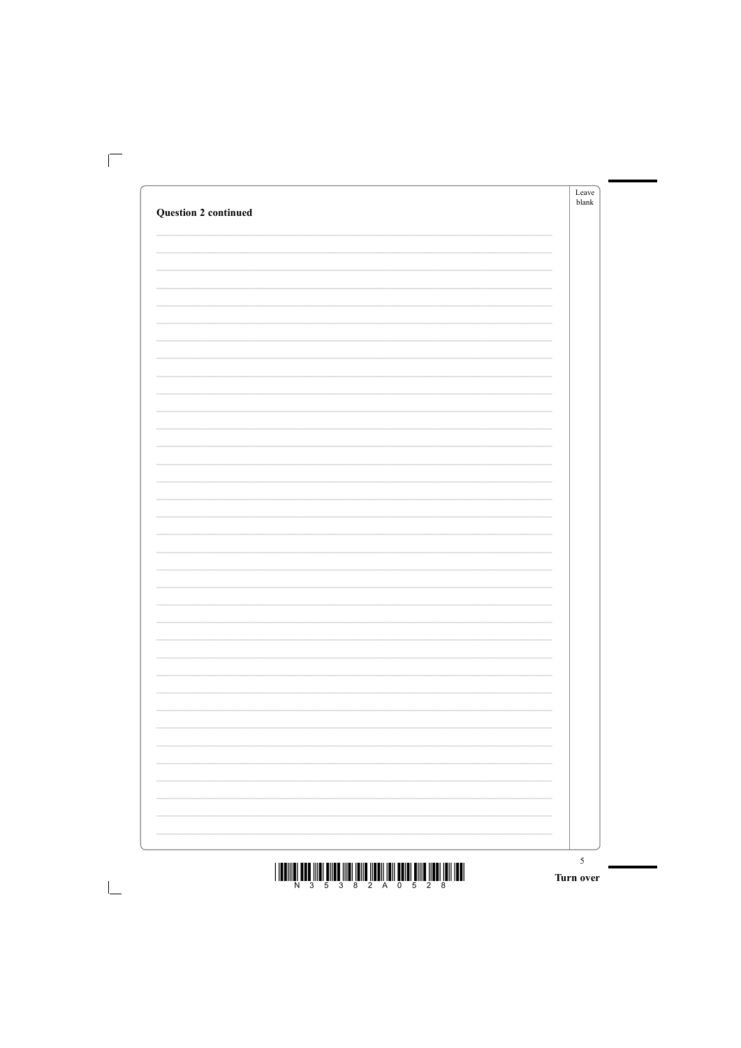|                             |                          | Leave<br>$b$ lank |
|-----------------------------|--------------------------|-------------------|
| <b>Question 2 continued</b> |                          |                   |
|                             |                          |                   |
|                             |                          |                   |
|                             |                          |                   |
|                             |                          |                   |
|                             |                          |                   |
|                             |                          |                   |
|                             |                          |                   |
|                             |                          |                   |
|                             |                          |                   |
|                             |                          |                   |
|                             |                          |                   |
|                             |                          |                   |
|                             |                          |                   |
|                             |                          |                   |
|                             |                          |                   |
|                             |                          |                   |
|                             |                          |                   |
|                             |                          |                   |
|                             |                          |                   |
|                             |                          |                   |
|                             |                          |                   |
|                             |                          |                   |
|                             |                          |                   |
|                             | $\overline{\phantom{0}}$ |                   |
|                             | $\overline{\phantom{0}}$ |                   |
|                             |                          |                   |
|                             | $\overline{\phantom{a}}$ |                   |
|                             | $\overline{\phantom{0}}$ |                   |
|                             |                          |                   |
|                             | $\overline{\phantom{a}}$ |                   |
|                             |                          |                   |
|                             | ÷.                       |                   |
|                             | $\overline{\phantom{a}}$ |                   |
|                             | $\overline{\phantom{0}}$ |                   |

 $\mathbf{I}$ 

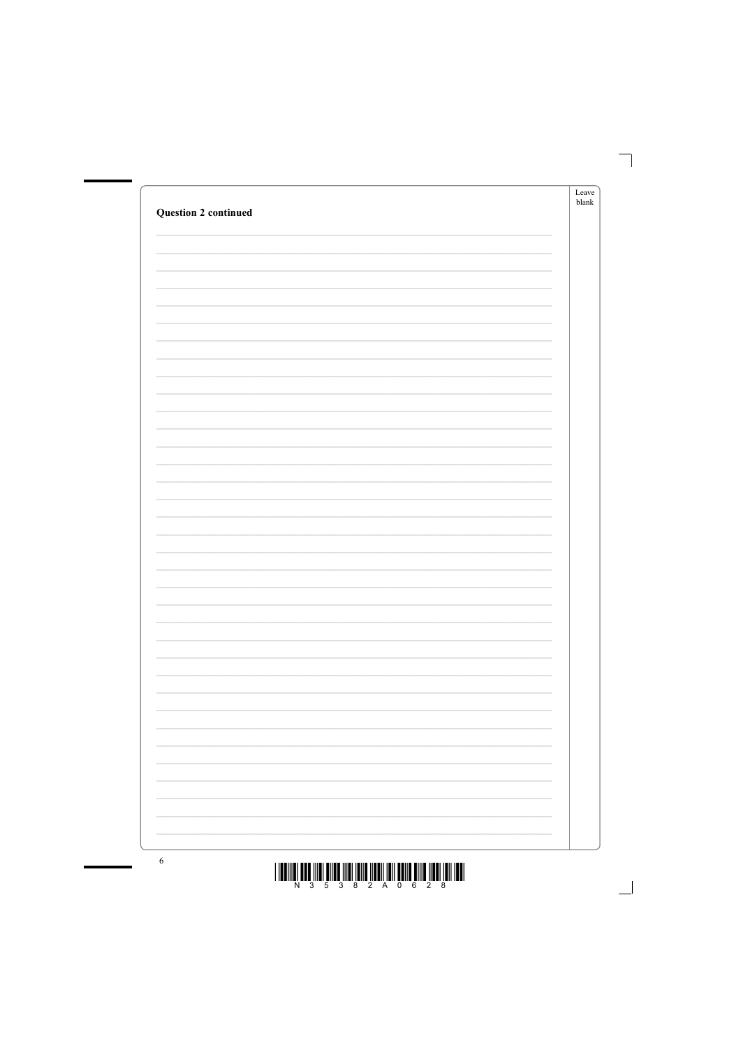| <b>Question 2 continued</b> | Leave<br>$b$ lank |
|-----------------------------|-------------------|
|                             |                   |
|                             |                   |
|                             |                   |
|                             |                   |
|                             |                   |
|                             |                   |
|                             |                   |
|                             |                   |
|                             |                   |
|                             |                   |
|                             |                   |
|                             |                   |
|                             |                   |
|                             |                   |
|                             |                   |
|                             |                   |
|                             |                   |
|                             |                   |
|                             |                   |
|                             |                   |





 $\overline{6}$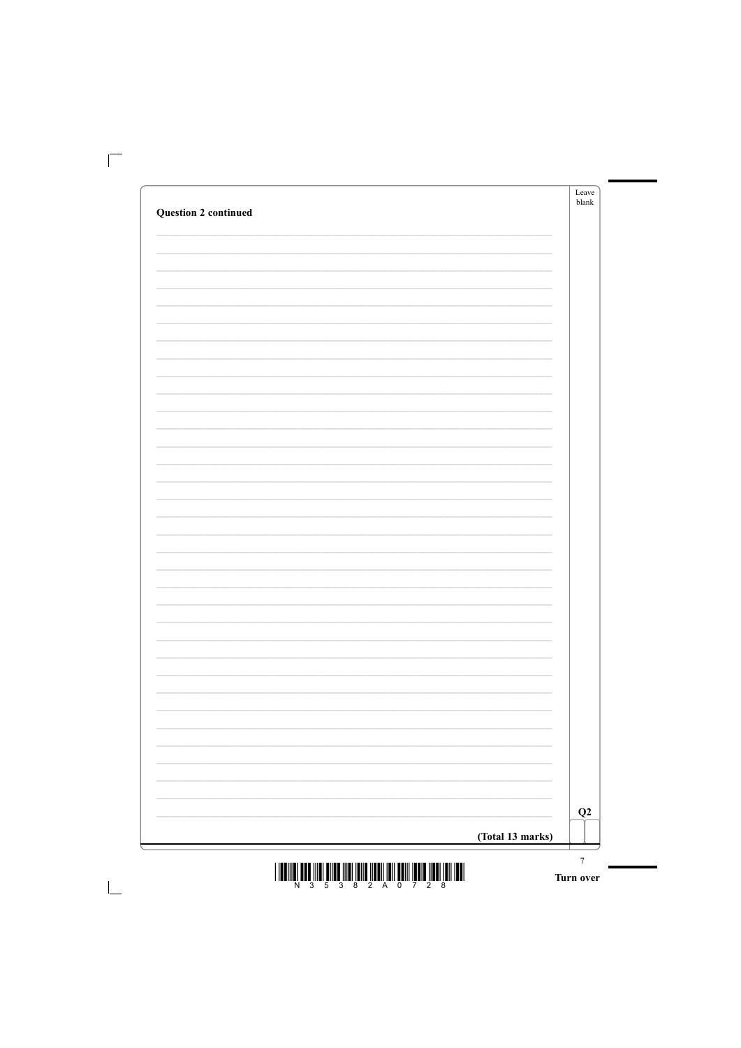|                             | Leave<br>blank |
|-----------------------------|----------------|
| <b>Question 2 continued</b> |                |
|                             |                |
|                             |                |
|                             |                |
|                             |                |
|                             |                |
|                             |                |
|                             |                |
|                             |                |
|                             |                |
|                             |                |
|                             |                |
|                             |                |
|                             |                |
|                             |                |
|                             |                |
|                             |                |
|                             |                |
|                             |                |
|                             |                |
|                             |                |
|                             |                |
|                             |                |
|                             |                |
|                             |                |
|                             |                |
|                             |                |
|                             | ÷.             |
|                             |                |

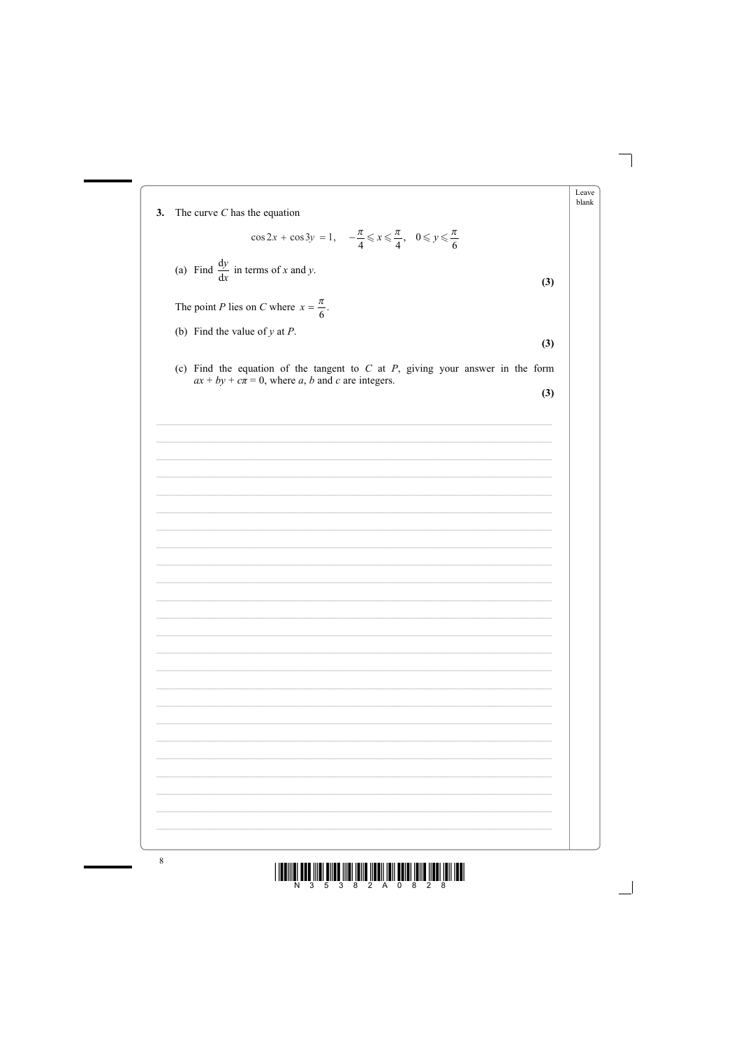



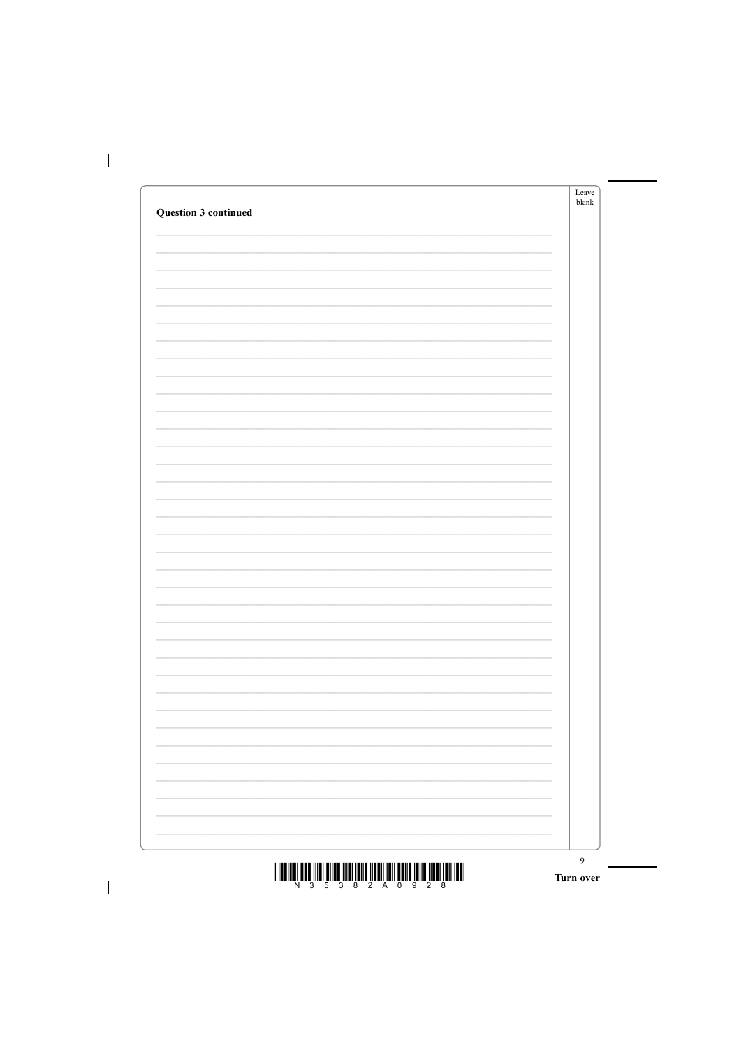|                                                                                                                  |                          | Leave<br>blank |
|------------------------------------------------------------------------------------------------------------------|--------------------------|----------------|
| <b>Question 3 continued</b>                                                                                      |                          |                |
|                                                                                                                  |                          |                |
|                                                                                                                  |                          |                |
|                                                                                                                  |                          |                |
|                                                                                                                  |                          |                |
|                                                                                                                  |                          |                |
|                                                                                                                  |                          |                |
|                                                                                                                  |                          |                |
|                                                                                                                  |                          |                |
|                                                                                                                  |                          |                |
|                                                                                                                  |                          |                |
|                                                                                                                  |                          |                |
|                                                                                                                  |                          |                |
|                                                                                                                  |                          |                |
|                                                                                                                  |                          |                |
|                                                                                                                  |                          |                |
|                                                                                                                  |                          |                |
|                                                                                                                  |                          |                |
|                                                                                                                  |                          |                |
|                                                                                                                  |                          |                |
|                                                                                                                  |                          |                |
|                                                                                                                  |                          |                |
|                                                                                                                  |                          |                |
|                                                                                                                  |                          |                |
|                                                                                                                  | $\overline{\phantom{0}}$ |                |
|                                                                                                                  |                          |                |
|                                                                                                                  |                          |                |
| and the control of the control of the control of the control of the control of the control of the control of the | $\overline{\phantom{a}}$ |                |
|                                                                                                                  | $\overline{\phantom{0}}$ |                |
|                                                                                                                  |                          |                |
|                                                                                                                  |                          |                |
|                                                                                                                  |                          |                |
|                                                                                                                  | $\overline{\phantom{0}}$ |                |
|                                                                                                                  |                          |                |
|                                                                                                                  |                          |                |

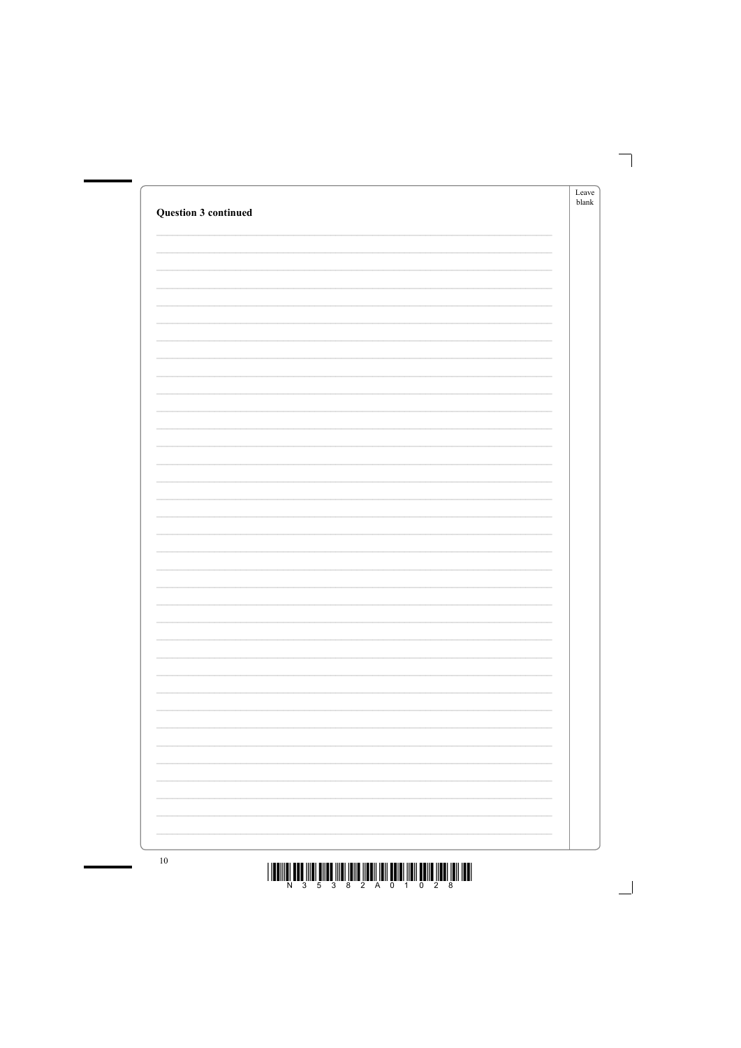| Question 3 continued |                          | Leave<br>blank |
|----------------------|--------------------------|----------------|
|                      |                          |                |
|                      |                          |                |
|                      |                          |                |
|                      |                          |                |
|                      |                          |                |
|                      |                          |                |
|                      |                          |                |
|                      |                          |                |
|                      |                          |                |
|                      |                          |                |
|                      |                          |                |
|                      |                          |                |
|                      |                          |                |
|                      |                          |                |
|                      |                          |                |
|                      |                          |                |
|                      | Ξ.                       |                |
|                      |                          |                |
|                      | $\overline{\phantom{0}}$ |                |



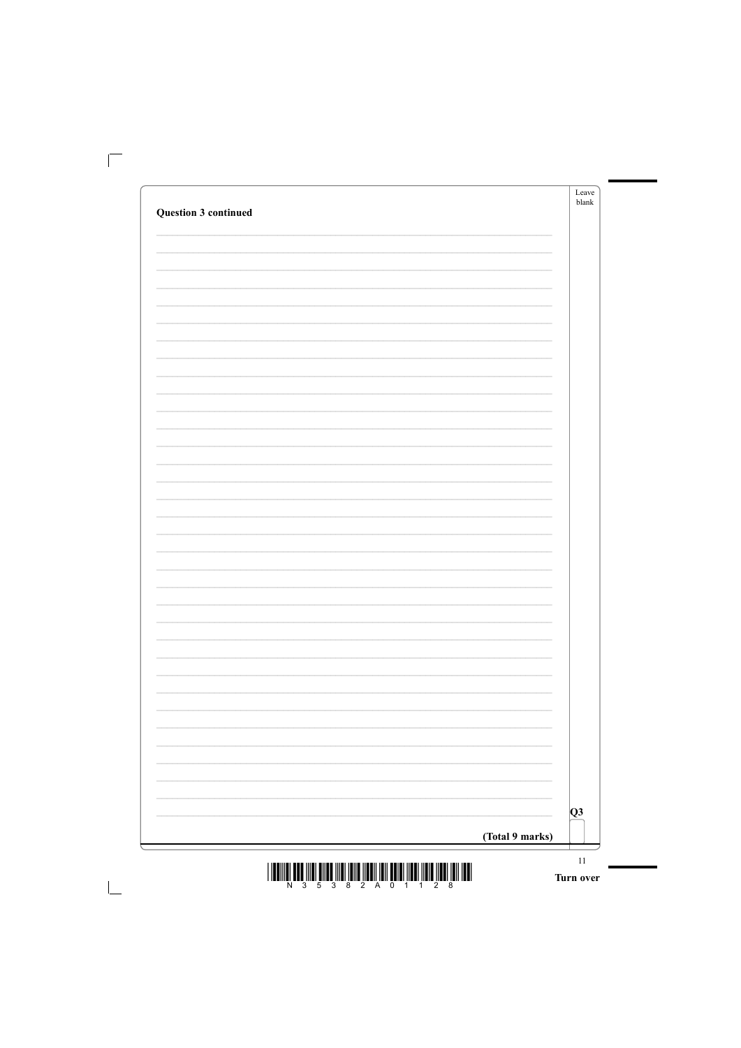|                             |                          | Leave<br>blank |
|-----------------------------|--------------------------|----------------|
| <b>Question 3 continued</b> |                          |                |
|                             |                          |                |
|                             |                          |                |
|                             |                          |                |
|                             |                          |                |
|                             |                          |                |
|                             |                          |                |
|                             |                          |                |
|                             |                          |                |
|                             |                          |                |
|                             |                          |                |
|                             |                          |                |
|                             |                          |                |
|                             |                          |                |
|                             |                          |                |
|                             |                          |                |
|                             |                          |                |
|                             |                          |                |
|                             |                          |                |
|                             |                          |                |
|                             |                          |                |
|                             |                          |                |
|                             |                          |                |
|                             |                          |                |
|                             |                          |                |
|                             |                          |                |
|                             |                          |                |
|                             | $\overline{\phantom{0}}$ |                |
|                             | $\overline{\phantom{0}}$ |                |
|                             |                          |                |
|                             | $\overline{\phantom{0}}$ |                |
|                             | $\overline{\phantom{0}}$ |                |
|                             |                          |                |
|                             |                          |                |
|                             |                          |                |

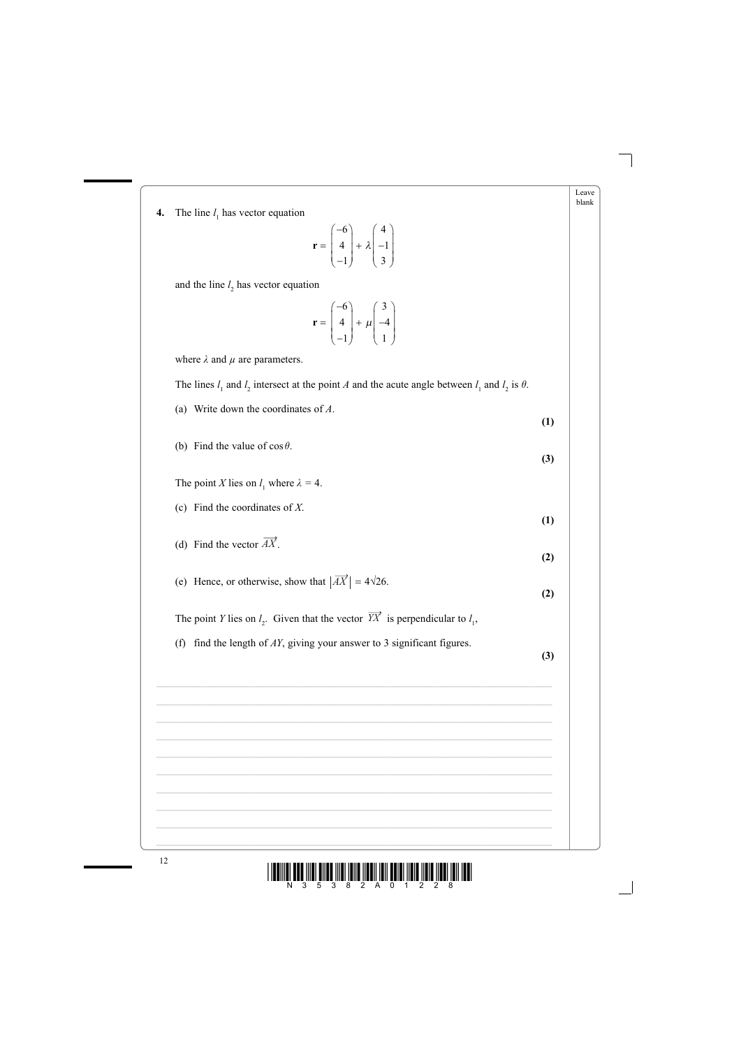

| 4. | The line $l_1$ has vector equation                                                                              | Leave<br>blank |
|----|-----------------------------------------------------------------------------------------------------------------|----------------|
|    | $\mathbf{r} = \begin{bmatrix} -6 \\ 4 \\ -1 \end{bmatrix} + \lambda \begin{bmatrix} 4 \\ -1 \\ 3 \end{bmatrix}$ |                |
|    | and the line $l_2$ has vector equation                                                                          |                |
|    | $\mathbf{r} = \begin{bmatrix} -6 \\ 4 \\ 1 \end{bmatrix} + \mu \begin{bmatrix} 3 \\ -4 \\ 1 \end{bmatrix}$      |                |
|    | where $\lambda$ and $\mu$ are parameters.                                                                       |                |
|    | The lines $l_1$ and $l_2$ intersect at the point A and the acute angle between $l_1$ and $l_2$ is $\theta$ .    |                |
|    | Write down the coordinates of $A$ .<br>(a)<br>(1)                                                               |                |
|    | (b) Find the value of $\cos \theta$ .<br>(3)                                                                    |                |
|    | The point X lies on $l_1$ where $\lambda = 4$ .                                                                 |                |
|    | Find the coordinates of $X$ .<br>(c)<br>(1)                                                                     |                |
|    | (d) Find the vector $\overrightarrow{AX}$ .<br>(2)                                                              |                |
|    | (e) Hence, or otherwise, show that $ \overrightarrow{AX}  = 4\sqrt{26}$ .<br>(2)                                |                |
|    | The point Y lies on $l_2$ . Given that the vector $\overrightarrow{YX}$ is perpendicular to $l_1$ ,             |                |
|    | find the length of $AY$ , giving your answer to 3 significant figures.<br>(f)<br>(3)                            |                |
|    |                                                                                                                 |                |
|    |                                                                                                                 |                |
|    |                                                                                                                 |                |
|    |                                                                                                                 |                |



ш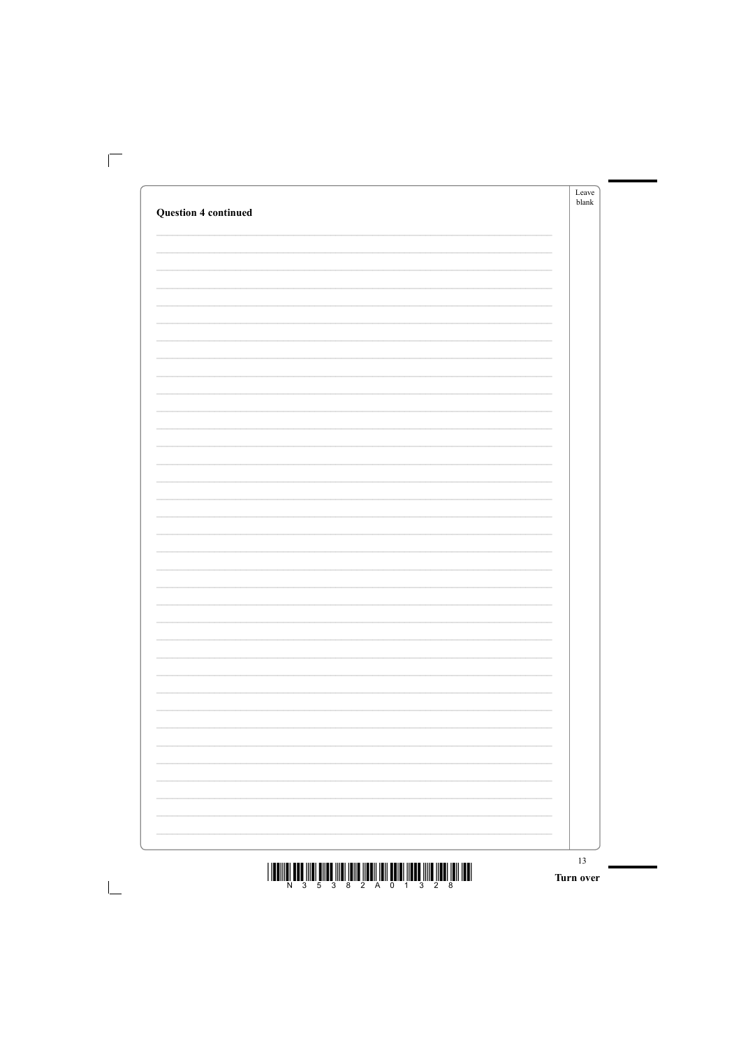|                             |                          | Leave<br>blank |
|-----------------------------|--------------------------|----------------|
| <b>Question 4 continued</b> |                          |                |
|                             |                          |                |
|                             |                          |                |
|                             |                          |                |
|                             |                          |                |
|                             |                          |                |
|                             |                          |                |
|                             |                          |                |
|                             |                          |                |
|                             |                          |                |
|                             |                          |                |
|                             |                          |                |
|                             |                          |                |
|                             |                          |                |
|                             |                          |                |
|                             |                          |                |
|                             |                          |                |
|                             |                          |                |
|                             |                          |                |
|                             |                          |                |
|                             |                          |                |
|                             |                          |                |
|                             |                          |                |
|                             |                          |                |
|                             |                          |                |
|                             |                          |                |
|                             |                          |                |
|                             | $\overline{\phantom{0}}$ |                |
|                             | $\overline{\phantom{0}}$ |                |
|                             |                          |                |
|                             | $\overline{\phantom{0}}$ |                |
|                             | $\overline{\phantom{0}}$ |                |
|                             |                          |                |
|                             |                          |                |
|                             |                          |                |

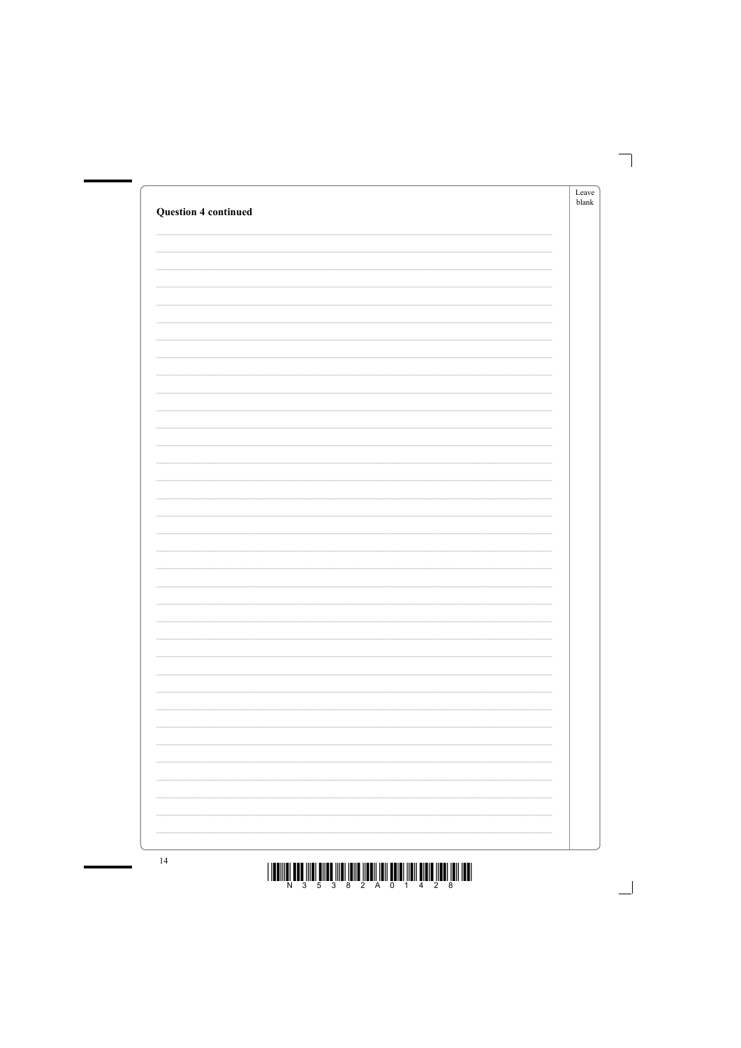| <b>Question 4 continued</b> | Leave<br>blank |
|-----------------------------|----------------|
|                             |                |
|                             |                |
|                             |                |
|                             |                |
|                             |                |
|                             |                |
|                             |                |
|                             |                |
|                             |                |
|                             |                |
|                             |                |
|                             |                |
|                             |                |
|                             |                |
|                             |                |
|                             |                |
|                             |                |



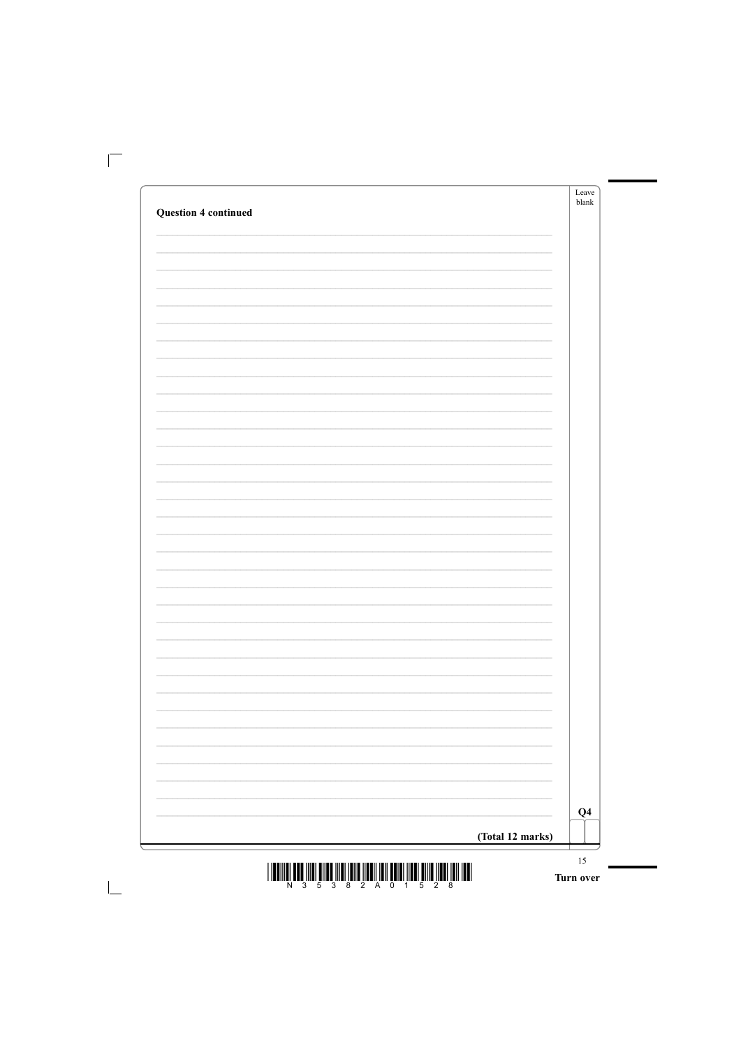|                             |                          | Leave<br>blank |
|-----------------------------|--------------------------|----------------|
| <b>Question 4 continued</b> |                          |                |
|                             |                          |                |
|                             |                          |                |
|                             |                          |                |
|                             |                          |                |
|                             |                          |                |
|                             |                          |                |
|                             |                          |                |
|                             |                          |                |
|                             |                          |                |
|                             |                          |                |
|                             |                          |                |
|                             |                          |                |
|                             |                          |                |
|                             |                          |                |
|                             |                          |                |
|                             |                          |                |
|                             |                          |                |
|                             |                          |                |
|                             |                          |                |
|                             |                          |                |
|                             |                          |                |
|                             |                          |                |
|                             |                          |                |
|                             |                          |                |
|                             |                          |                |
|                             |                          |                |
|                             | $\overline{\phantom{0}}$ |                |
|                             | $\overline{\phantom{0}}$ |                |
|                             |                          |                |
|                             | $\overline{\phantom{0}}$ |                |
|                             |                          |                |
|                             | $\overline{\phantom{0}}$ |                |
|                             |                          |                |
|                             |                          |                |

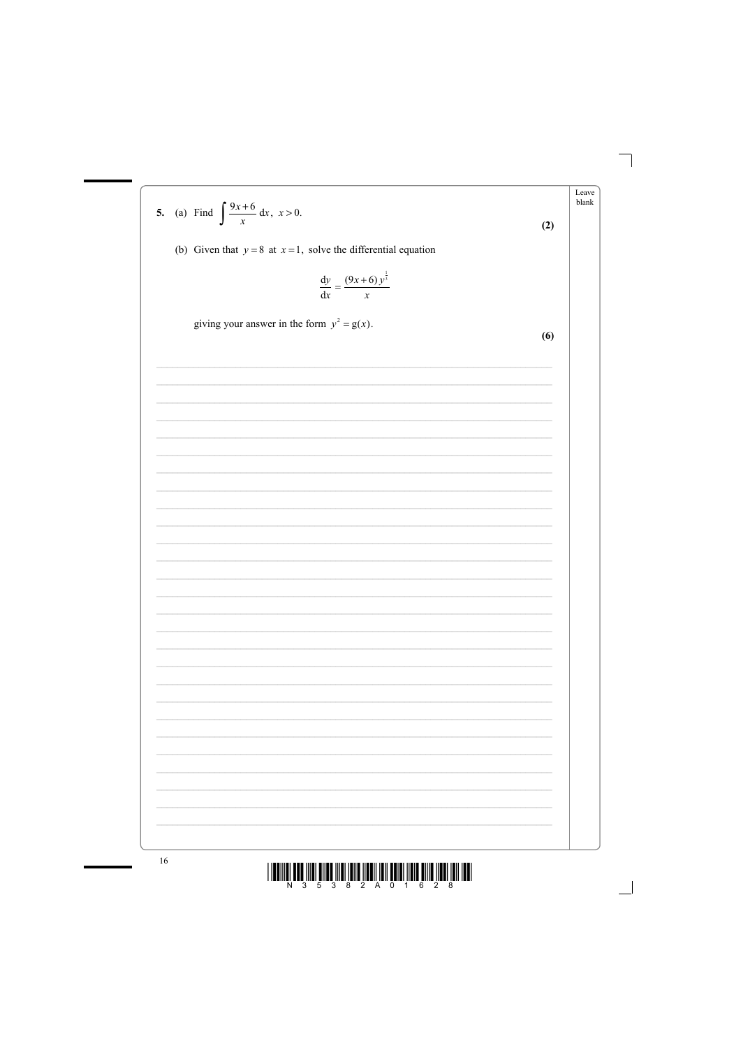Leave 5. (a) Find  $\int \frac{9x+6}{x} dx$ ,  $x > 0$ .  $b$ lank  $(2)$ (b) Given that  $y = 8$  at  $x = 1$ , solve the differential equation  $rac{dy}{dx} = \frac{(9x+6)y^{\frac{1}{3}}}{x}$ giving your answer in the form  $y^2 = g(x)$ .  $(6)$ 



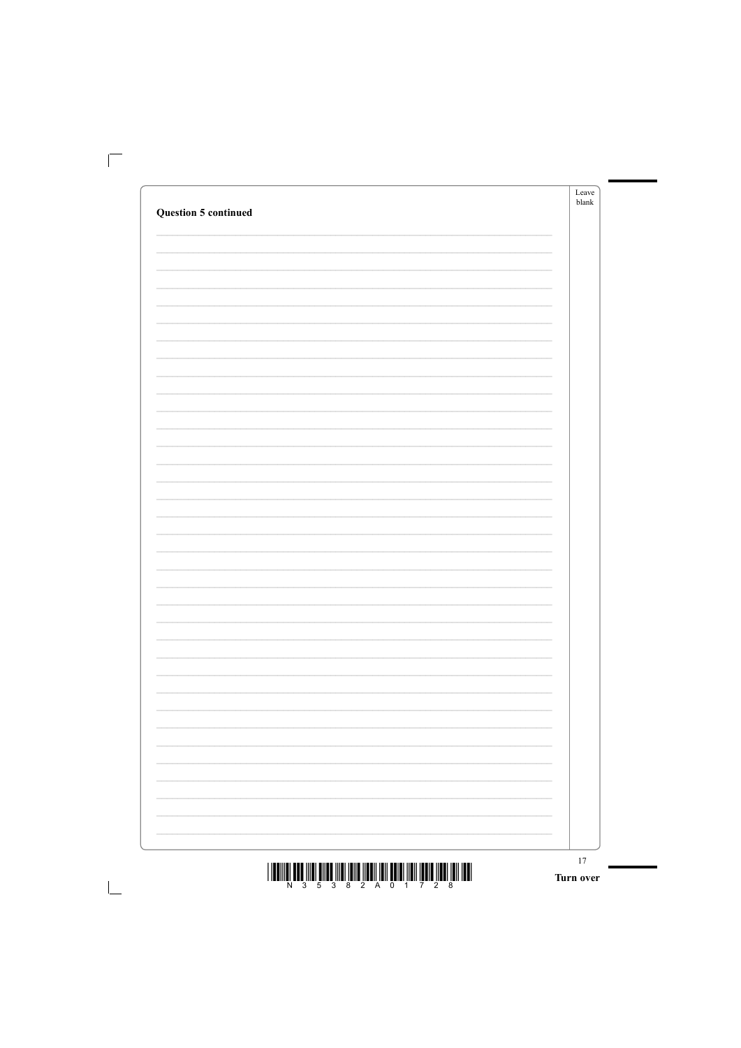|                             |                          | Leave<br>blank |
|-----------------------------|--------------------------|----------------|
| <b>Question 5 continued</b> |                          |                |
|                             |                          |                |
|                             |                          |                |
|                             |                          |                |
|                             |                          |                |
|                             |                          |                |
|                             |                          |                |
|                             |                          |                |
|                             |                          |                |
|                             |                          |                |
|                             |                          |                |
|                             |                          |                |
|                             |                          |                |
|                             |                          |                |
|                             |                          |                |
|                             |                          |                |
|                             |                          |                |
|                             |                          |                |
|                             |                          |                |
|                             |                          |                |
|                             |                          |                |
|                             |                          |                |
|                             |                          |                |
|                             |                          |                |
|                             |                          |                |
|                             |                          |                |
|                             | $\overline{\phantom{0}}$ |                |
|                             | $\overline{\phantom{0}}$ |                |
|                             |                          |                |
|                             |                          |                |
|                             | $\overline{\phantom{0}}$ |                |
|                             | $\overline{\phantom{0}}$ |                |
|                             |                          |                |
|                             |                          |                |

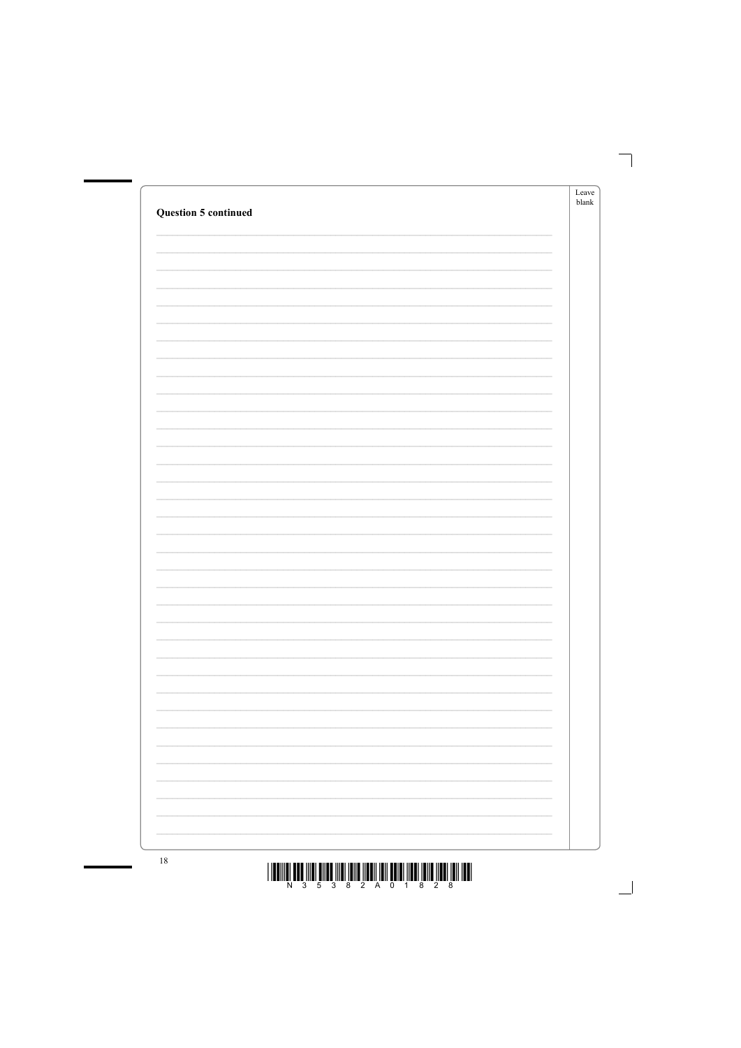| <b>Question 5 continued</b> |                          | Leave<br>$b$ lank |
|-----------------------------|--------------------------|-------------------|
|                             |                          |                   |
|                             |                          |                   |
|                             |                          |                   |
|                             |                          |                   |
|                             |                          |                   |
|                             |                          |                   |
|                             |                          |                   |
|                             |                          |                   |
|                             |                          |                   |
|                             |                          |                   |
|                             |                          |                   |
|                             |                          |                   |
|                             | J.                       |                   |
|                             |                          |                   |
|                             | $\overline{\phantom{0}}$ |                   |
|                             | $\overline{\phantom{0}}$ |                   |
|                             |                          |                   |
|                             | ÷.                       |                   |



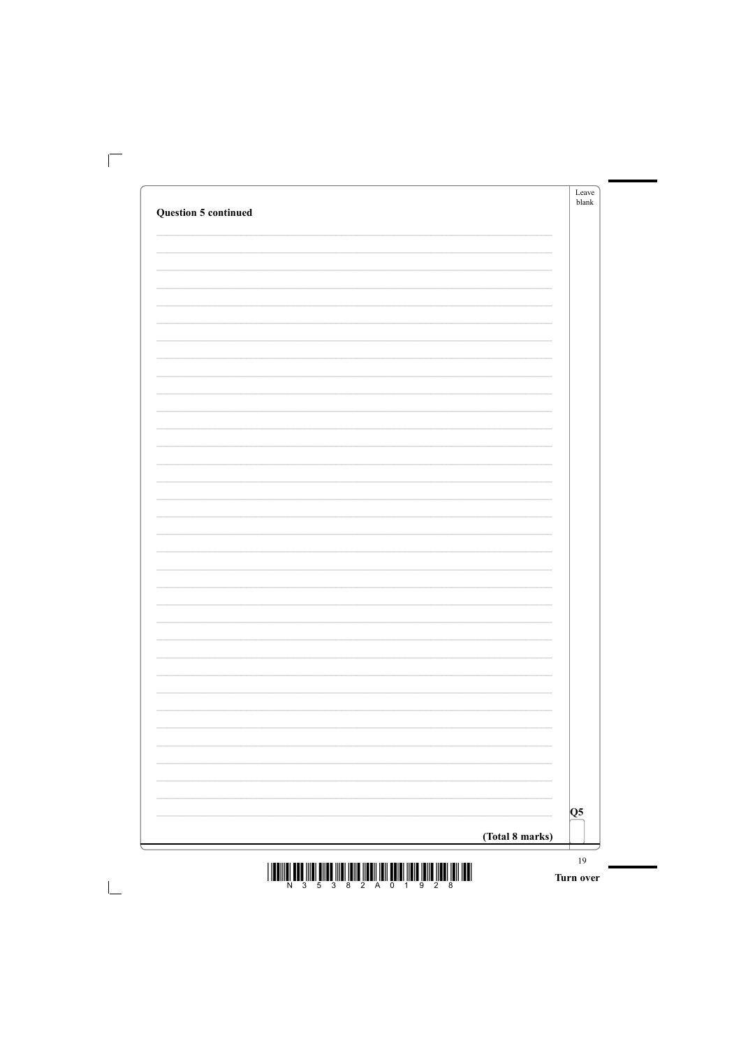|                             |                          | Leave<br>blank |
|-----------------------------|--------------------------|----------------|
| <b>Question 5 continued</b> |                          |                |
|                             |                          |                |
|                             |                          |                |
|                             |                          |                |
|                             |                          |                |
|                             |                          |                |
|                             |                          |                |
|                             |                          |                |
|                             |                          |                |
|                             |                          |                |
|                             |                          |                |
|                             |                          |                |
|                             |                          |                |
|                             |                          |                |
|                             |                          |                |
|                             |                          |                |
|                             |                          |                |
|                             |                          |                |
|                             |                          |                |
|                             |                          |                |
|                             |                          |                |
|                             |                          |                |
|                             |                          |                |
|                             |                          |                |
|                             |                          |                |
|                             |                          |                |
|                             | $\overline{\phantom{0}}$ |                |
|                             | $\overline{\phantom{0}}$ |                |
|                             |                          |                |
|                             |                          |                |
|                             | $\overline{\phantom{0}}$ |                |
|                             | $\overline{\phantom{0}}$ |                |
|                             |                          |                |
|                             |                          |                |

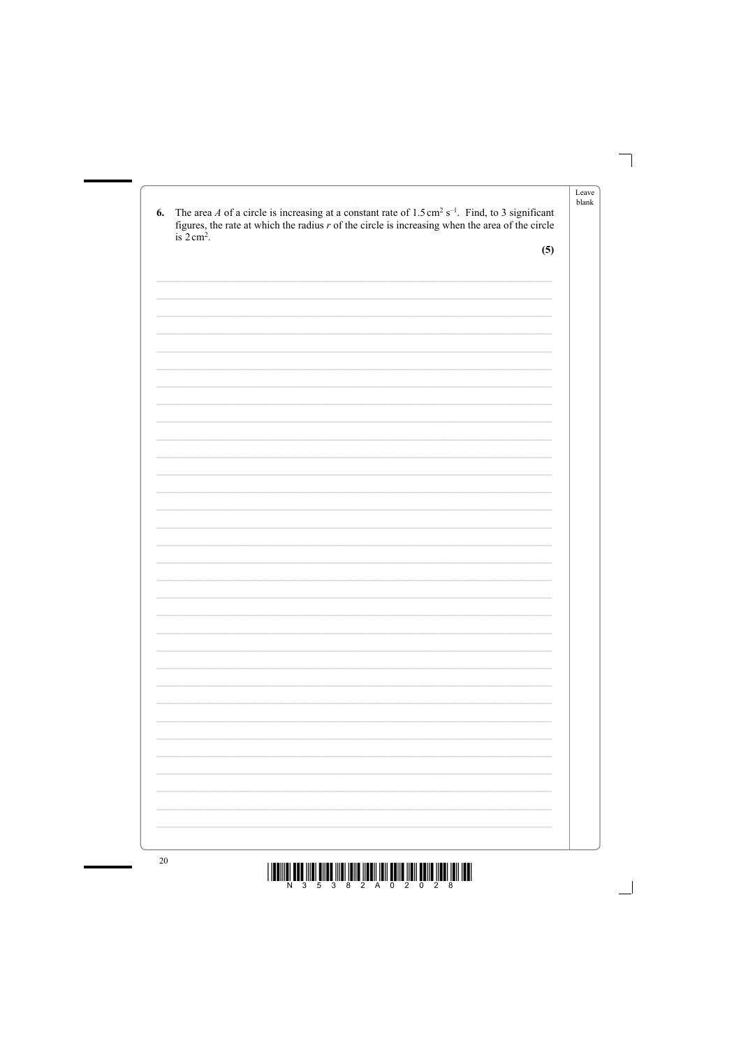| 6. | The area A of a circle is increasing at a constant rate of $1.5 \text{ cm}^2 \text{ s}^{-1}$ . Find, to 3 significant<br>figures, the rate at which the radius $r$ of the circle is increasing when the area of the circle<br>is $2 \text{ cm}^2$ . | blank |
|----|-----------------------------------------------------------------------------------------------------------------------------------------------------------------------------------------------------------------------------------------------------|-------|
|    | (5)                                                                                                                                                                                                                                                 |       |
|    |                                                                                                                                                                                                                                                     |       |
|    |                                                                                                                                                                                                                                                     |       |
|    |                                                                                                                                                                                                                                                     |       |
|    |                                                                                                                                                                                                                                                     |       |
|    |                                                                                                                                                                                                                                                     |       |
|    |                                                                                                                                                                                                                                                     |       |
|    |                                                                                                                                                                                                                                                     |       |
|    |                                                                                                                                                                                                                                                     |       |
|    |                                                                                                                                                                                                                                                     |       |
|    |                                                                                                                                                                                                                                                     |       |
|    |                                                                                                                                                                                                                                                     |       |
|    |                                                                                                                                                                                                                                                     |       |
|    |                                                                                                                                                                                                                                                     |       |
|    |                                                                                                                                                                                                                                                     |       |
|    |                                                                                                                                                                                                                                                     |       |
|    |                                                                                                                                                                                                                                                     |       |
|    |                                                                                                                                                                                                                                                     |       |



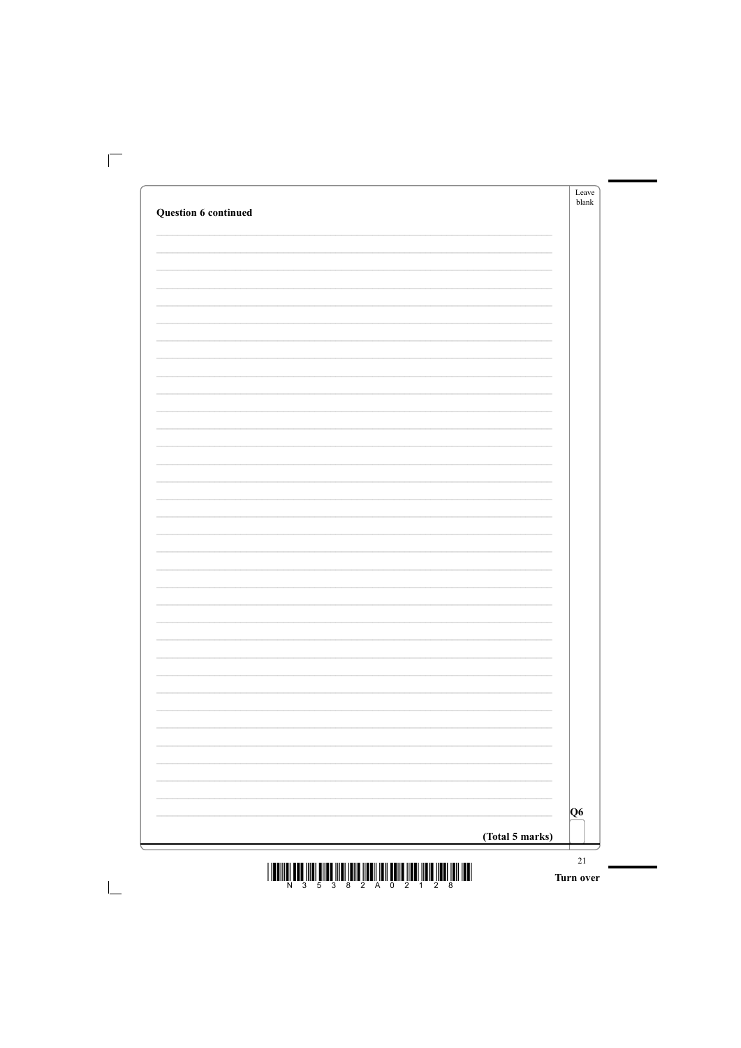|                      | Leave<br>blank           |
|----------------------|--------------------------|
| Question 6 continued |                          |
|                      |                          |
|                      |                          |
|                      |                          |
|                      |                          |
|                      |                          |
|                      |                          |
|                      |                          |
|                      |                          |
|                      |                          |
|                      |                          |
|                      |                          |
|                      |                          |
|                      |                          |
|                      |                          |
|                      |                          |
|                      |                          |
|                      |                          |
|                      |                          |
|                      |                          |
|                      |                          |
|                      |                          |
|                      |                          |
|                      |                          |
|                      |                          |
|                      | $\overline{\phantom{0}}$ |
|                      | $\overline{\phantom{0}}$ |
|                      |                          |
|                      | $\overline{\phantom{0}}$ |
|                      | $\overline{\phantom{0}}$ |
|                      |                          |
|                      |                          |
|                      |                          |

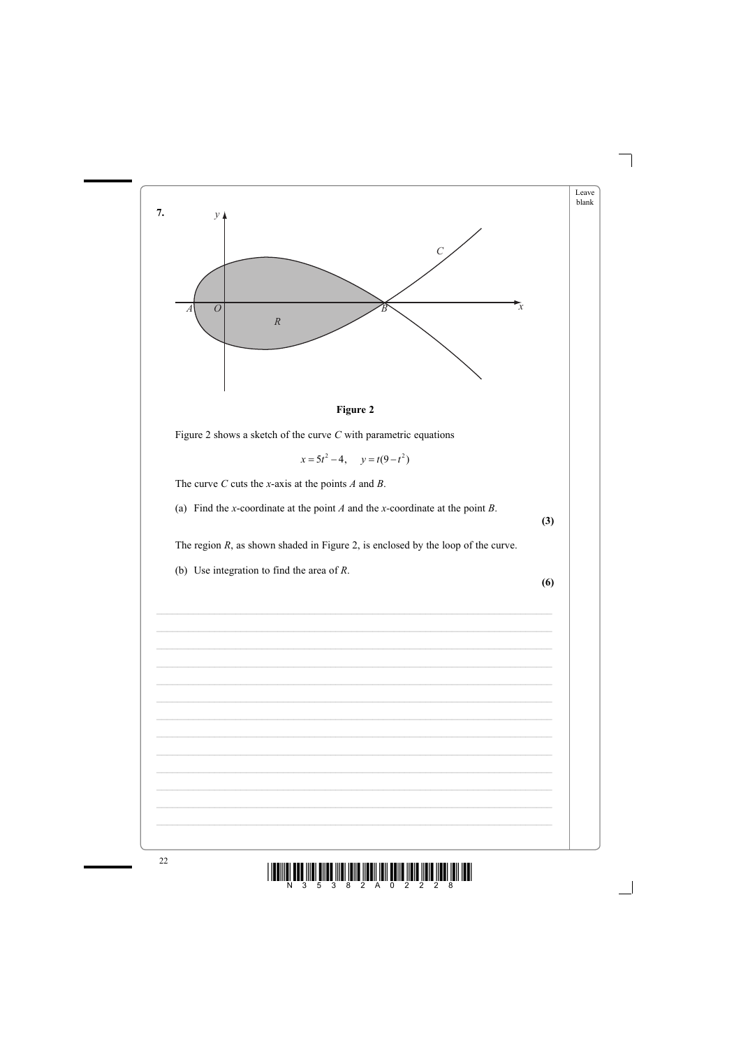



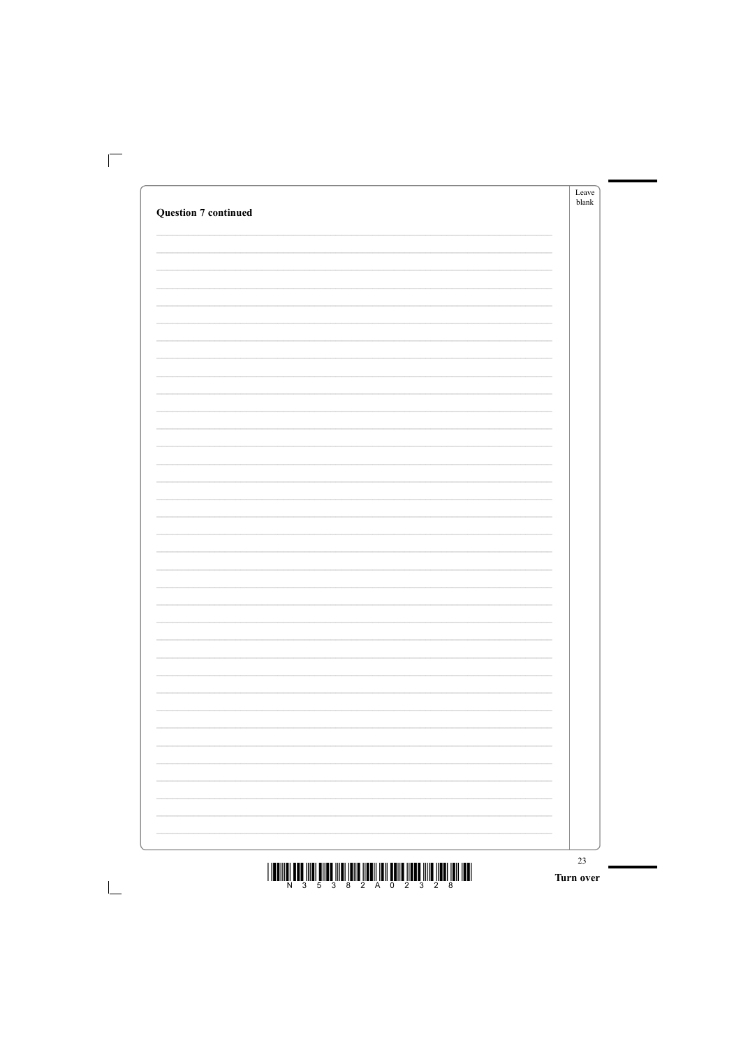|                             | Leave<br>blank           |
|-----------------------------|--------------------------|
| <b>Question 7 continued</b> |                          |
|                             |                          |
|                             |                          |
|                             |                          |
|                             |                          |
|                             |                          |
|                             |                          |
|                             |                          |
|                             |                          |
|                             |                          |
|                             |                          |
|                             |                          |
|                             |                          |
|                             |                          |
|                             |                          |
|                             |                          |
|                             |                          |
|                             |                          |
|                             |                          |
|                             |                          |
|                             |                          |
|                             |                          |
|                             |                          |
|                             |                          |
|                             |                          |
|                             |                          |
|                             |                          |
|                             |                          |
|                             | $\overline{\phantom{0}}$ |
|                             | $\overline{\phantom{0}}$ |
|                             |                          |
|                             |                          |
|                             | $\overline{\phantom{0}}$ |
|                             | $\overline{\phantom{0}}$ |
|                             |                          |
|                             |                          |
|                             |                          |

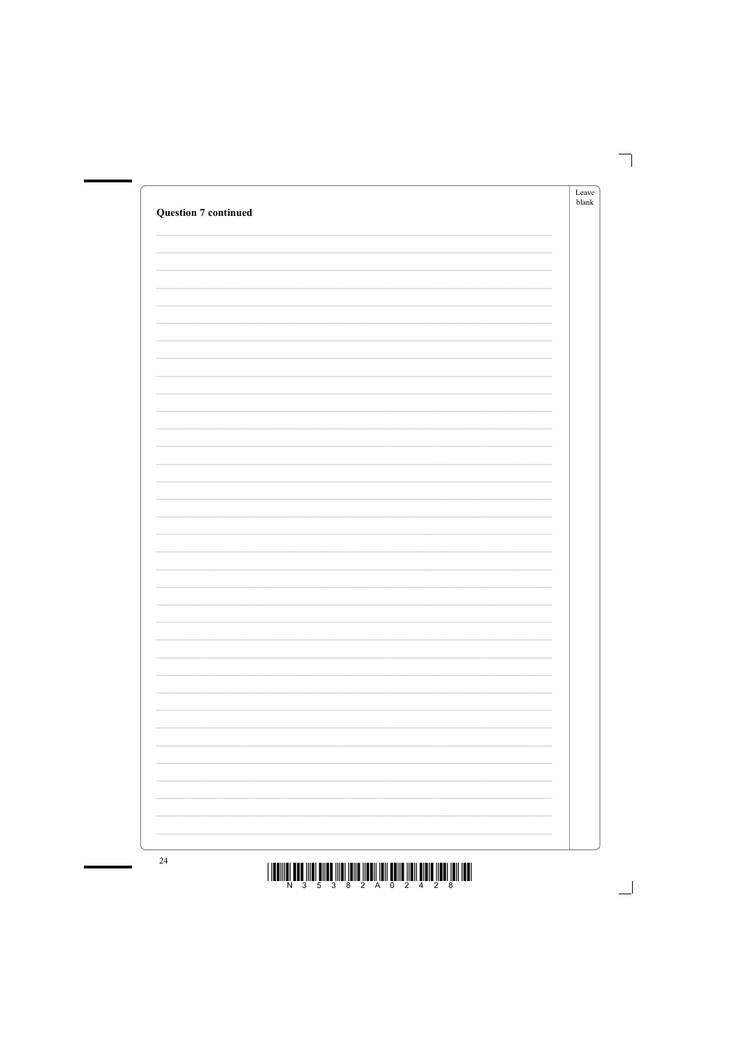| <b>Question 7 continued</b> |                                                                                               | Leave<br>$b$ lank |
|-----------------------------|-----------------------------------------------------------------------------------------------|-------------------|
|                             |                                                                                               |                   |
|                             |                                                                                               |                   |
|                             |                                                                                               |                   |
|                             |                                                                                               |                   |
|                             |                                                                                               |                   |
|                             |                                                                                               |                   |
|                             |                                                                                               |                   |
|                             |                                                                                               |                   |
|                             |                                                                                               |                   |
|                             |                                                                                               |                   |
|                             |                                                                                               |                   |
|                             |                                                                                               |                   |
|                             |                                                                                               |                   |
|                             |                                                                                               |                   |
|                             |                                                                                               |                   |
|                             | and the control of the control of the control of the control of the control of the control of |                   |
|                             |                                                                                               |                   |
|                             | ÷.<br>$\sim$                                                                                  |                   |



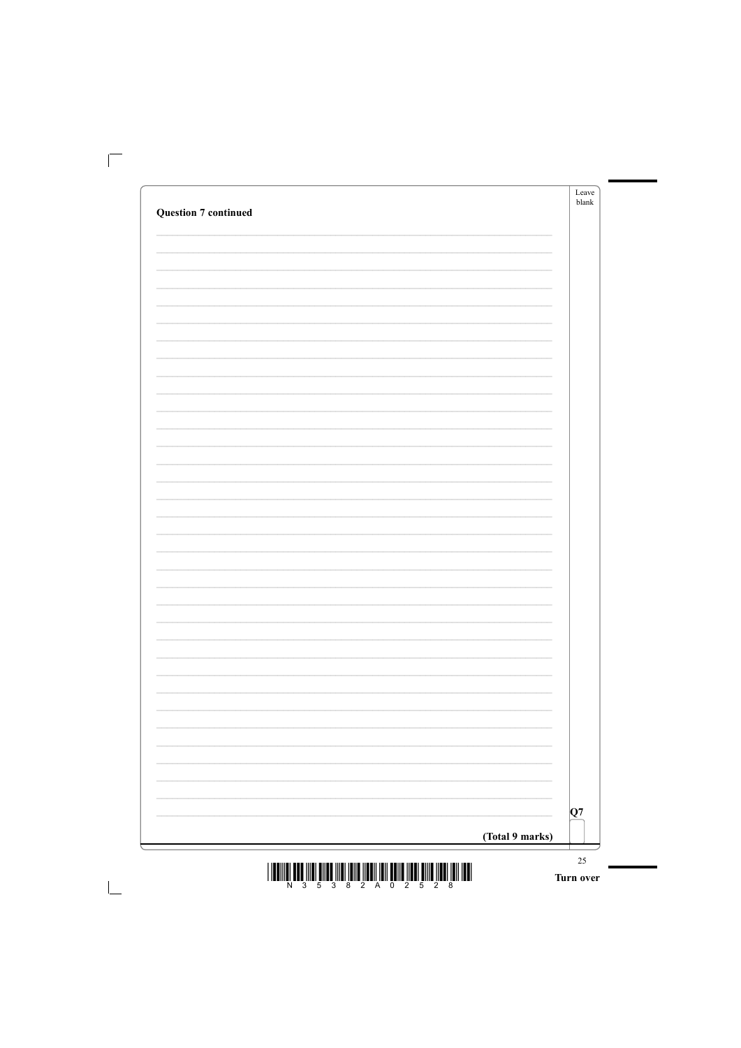|                             | Leave<br>blank           |
|-----------------------------|--------------------------|
| <b>Question 7 continued</b> |                          |
|                             |                          |
|                             |                          |
|                             |                          |
|                             |                          |
|                             |                          |
|                             |                          |
|                             |                          |
|                             |                          |
|                             |                          |
|                             |                          |
|                             |                          |
|                             |                          |
|                             |                          |
|                             |                          |
|                             |                          |
|                             |                          |
|                             |                          |
|                             |                          |
|                             |                          |
|                             |                          |
|                             |                          |
|                             |                          |
|                             |                          |
|                             |                          |
|                             |                          |
|                             |                          |
|                             |                          |
|                             | $\overline{\phantom{0}}$ |
|                             | $\overline{\phantom{0}}$ |
|                             |                          |
|                             |                          |
|                             | $\overline{\phantom{0}}$ |
|                             | $\overline{\phantom{0}}$ |
|                             |                          |
|                             |                          |
|                             |                          |

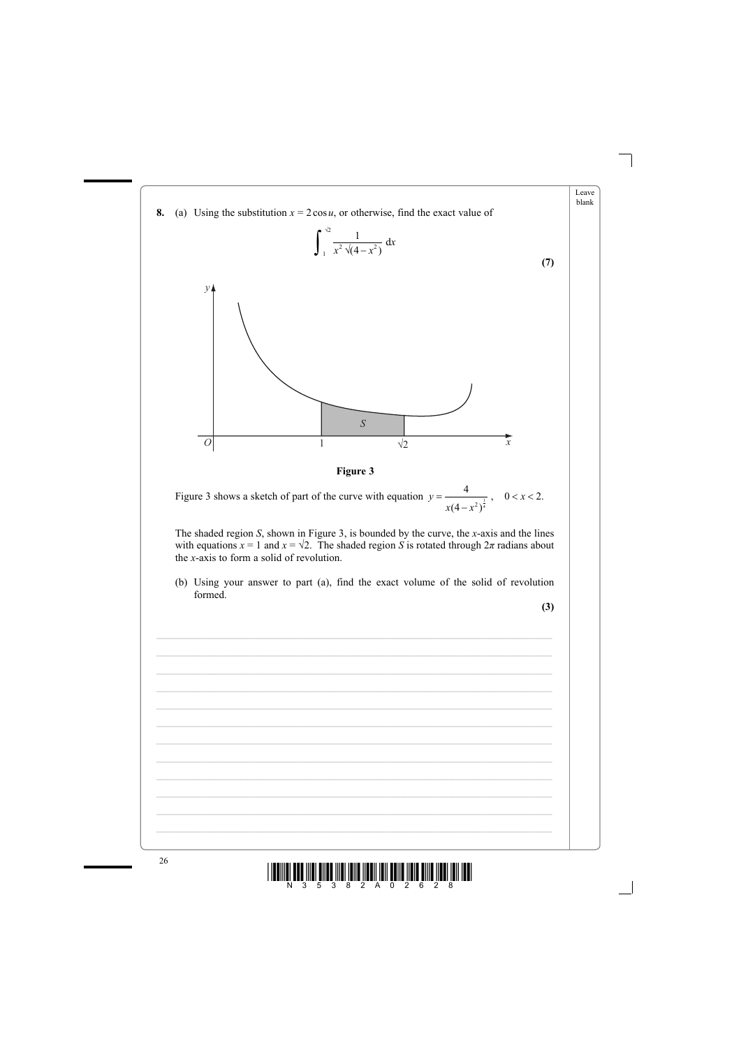



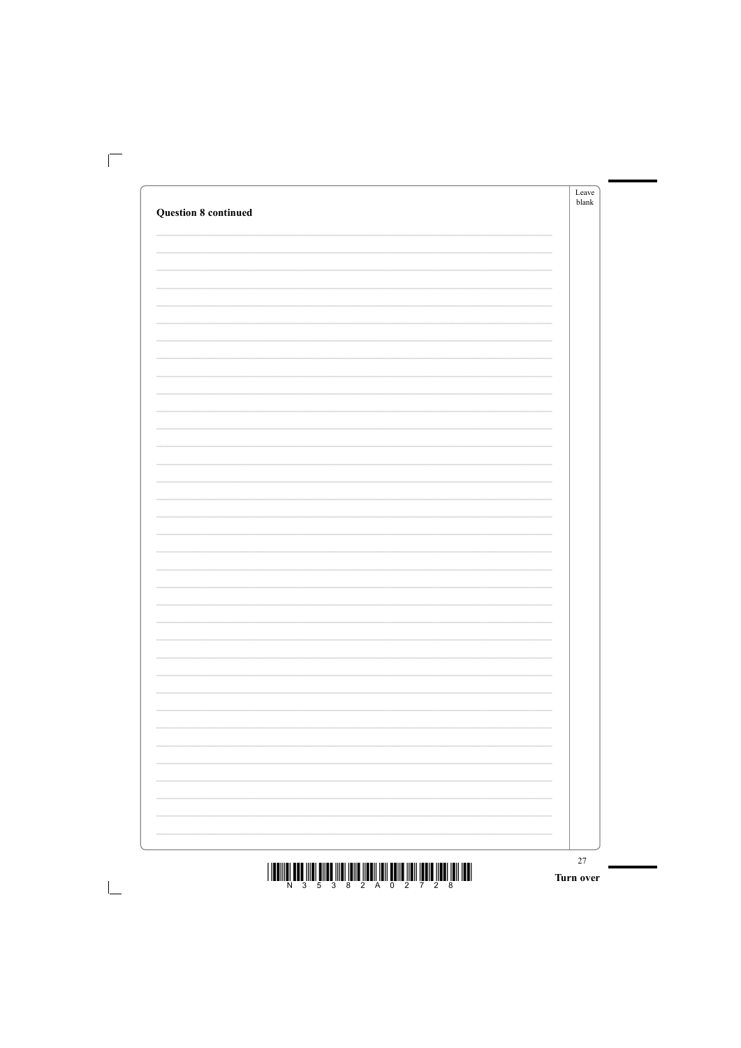|                             |                          | Leave<br>blank |
|-----------------------------|--------------------------|----------------|
| <b>Question 8 continued</b> |                          |                |
|                             |                          |                |
|                             |                          |                |
|                             |                          |                |
|                             |                          |                |
|                             |                          |                |
|                             |                          |                |
|                             |                          |                |
|                             |                          |                |
|                             |                          |                |
|                             |                          |                |
|                             |                          |                |
|                             |                          |                |
|                             |                          |                |
|                             |                          |                |
|                             |                          |                |
|                             |                          |                |
|                             |                          |                |
|                             |                          |                |
|                             |                          |                |
|                             |                          |                |
|                             |                          |                |
|                             |                          |                |
|                             |                          |                |
|                             |                          |                |
|                             |                          |                |
|                             | $\overline{\phantom{0}}$ |                |
|                             | $\overline{\phantom{0}}$ |                |
|                             |                          |                |
|                             | $\overline{\phantom{0}}$ |                |
|                             | $\overline{\phantom{0}}$ |                |
|                             |                          |                |
|                             |                          |                |
|                             |                          |                |